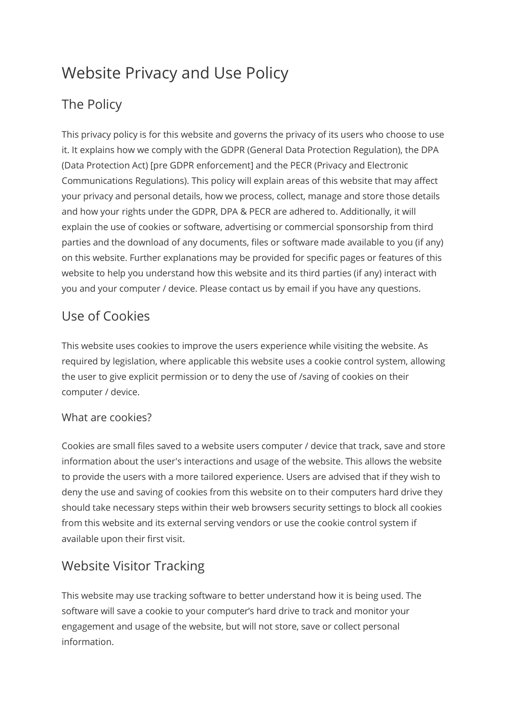# Website Privacy and Use Policy

# The Policy

This privacy policy is for this website and governs the privacy of its users who choose to use it. It explains how we comply with the GDPR (General Data Protection Regulation), the DPA (Data Protection Act) [pre GDPR enforcement] and the PECR (Privacy and Electronic Communications Regulations). This policy will explain areas of this website that may affect your privacy and personal details, how we process, collect, manage and store those details and how your rights under the GDPR, DPA & PECR are adhered to. Additionally, it will explain the use of cookies or software, advertising or commercial sponsorship from third parties and the download of any documents, files or software made available to you (if any) on this website. Further explanations may be provided for specific pages or features of this website to help you understand how this website and its third parties (if any) interact with you and your computer / device. Please contact us by email if you have any questions.

## Use of Cookies

This website uses cookies to improve the users experience while visiting the website. As required by legislation, where applicable this website uses a cookie control system, allowing the user to give explicit permission or to deny the use of /saving of cookies on their computer / device.

#### What are cookies?

Cookies are small files saved to a website users computer / device that track, save and store information about the user's interactions and usage of the website. This allows the website to provide the users with a more tailored experience. Users are advised that if they wish to deny the use and saving of cookies from this website on to their computers hard drive they should take necessary steps within their web browsers security settings to block all cookies from this website and its external serving vendors or use the cookie control system if available upon their first visit.

## Website Visitor Tracking

This website may use tracking software to better understand how it is being used. The software will save a cookie to your computer's hard drive to track and monitor your engagement and usage of the website, but will not store, save or collect personal information.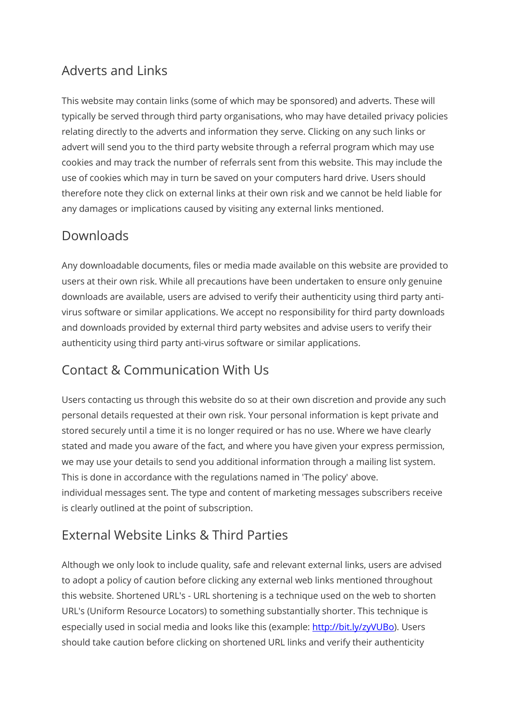#### Adverts and Links

This website may contain links (some of which may be sponsored) and adverts. These will typically be served through third party organisations, who may have detailed privacy policies relating directly to the adverts and information they serve. Clicking on any such links or advert will send you to the third party website through a referral program which may use cookies and may track the number of referrals sent from this website. This may include the use of cookies which may in turn be saved on your computers hard drive. Users should therefore note they click on external links at their own risk and we cannot be held liable for any damages or implications caused by visiting any external links mentioned.

#### Downloads

Any downloadable documents, files or media made available on this website are provided to users at their own risk. While all precautions have been undertaken to ensure only genuine downloads are available, users are advised to verify their authenticity using third party antivirus software or similar applications. We accept no responsibility for third party downloads and downloads provided by external third party websites and advise users to verify their authenticity using third party anti-virus software or similar applications.

## Contact & Communication With Us

Users contacting us through this website do so at their own discretion and provide any such personal details requested at their own risk. Your personal information is kept private and stored securely until a time it is no longer required or has no use. Where we have clearly stated and made you aware of the fact, and where you have given your express permission, we may use your details to send you additional information through a mailing list system. This is done in accordance with the regulations named in 'The policy' above. individual messages sent. The type and content of marketing messages subscribers receive is clearly outlined at the point of subscription.

## External Website Links & Third Parties

Although we only look to include quality, safe and relevant external links, users are advised to adopt a policy of caution before clicking any external web links mentioned throughout this website. Shortened URL's - URL shortening is a technique used on the web to shorten URL's (Uniform Resource Locators) to something substantially shorter. This technique is especially used in social media and looks like this (example[: http://bit.ly/zyVUBo\)](http://bit.ly/zyVUBo). Users should take caution before clicking on shortened URL links and verify their authenticity